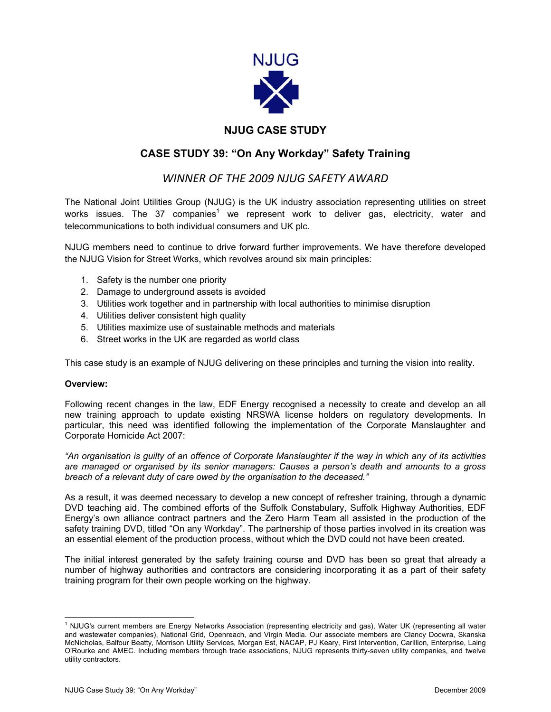

# **NJUG CASE STUDY**

## **CASE STUDY 39: "On Any Workday" Safety Training**

## *WINNER OF THE 2009 NJUG SAFETY AWARD*

The National Joint Utilities Group (NJUG) is the UK industry association representing utilities on street works issues. The 37 companies<sup>[1](#page-0-0)</sup> we represent work to deliver gas, electricity, water and telecommunications to both individual consumers and UK plc.

NJUG members need to continue to drive forward further improvements. We have therefore developed the NJUG Vision for Street Works, which revolves around six main principles:

- 1. Safety is the number one priority
- 2. Damage to underground assets is avoided
- 3. Utilities work together and in partnership with local authorities to minimise disruption
- 4. Utilities deliver consistent high quality
- 5. Utilities maximize use of sustainable methods and materials
- 6. Street works in the UK are regarded as world class

This case study is an example of NJUG delivering on these principles and turning the vision into reality.

#### **Overview:**

Following recent changes in the law, EDF Energy recognised a necessity to create and develop an all new training approach to update existing NRSWA license holders on regulatory developments. In particular, this need was identified following the implementation of the Corporate Manslaughter and Corporate Homicide Act 2007:

*"An organisation is guilty of an offence of Corporate Manslaughter if the way in which any of its activities are managed or organised by its senior managers: Causes a person's death and amounts to a gross breach of a relevant duty of care owed by the organisation to the deceased."*

As a result, it was deemed necessary to develop a new concept of refresher training, through a dynamic DVD teaching aid. The combined efforts of the Suffolk Constabulary, Suffolk Highway Authorities, EDF Energy's own alliance contract partners and the Zero Harm Team all assisted in the production of the safety training DVD, titled "On any Workday". The partnership of those parties involved in its creation was an essential element of the production process, without which the DVD could not have been created.

The initial interest generated by the safety training course and DVD has been so great that already a number of highway authorities and contractors are considering incorporating it as a part of their safety training program for their own people working on the highway.

<span id="page-0-0"></span> $\frac{1}{1}$  NJUG's current members are Energy Networks Association (representing electricity and gas), Water UK (representing all water and wastewater companies), National Grid, Openreach, and Virgin Media. Our associate members are Clancy Docwra, Skanska McNicholas, Balfour Beatty, Morrison Utility Services, Morgan Est, NACAP, PJ Keary, First Intervention, Carillion, Enterprise, Laing O'Rourke and AMEC. Including members through trade associations, NJUG represents thirty-seven utility companies, and twelve utility contractors.